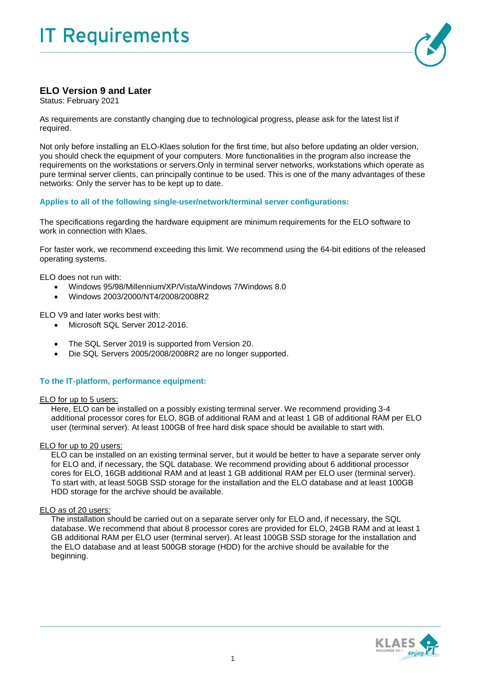

# **ELO Version 9 and Later**

Status: February 2021

As requirements are constantly changing due to technological progress, please ask for the latest list if required.

Not only before installing an ELO-Klaes solution for the first time, but also before updating an older version, you should check the equipment of your computers. More functionalities in the program also increase the requirements on the workstations or servers.Only in terminal server networks, workstations which operate as pure terminal server clients, can principally continue to be used. This is one of the many advantages of these networks: Only the server has to be kept up to date.

## **Applies to all of the following single-user/network/terminal server configurations:**

The specifications regarding the hardware equipment are minimum requirements for the ELO software to work in connection with Klaes.

For faster work, we recommend exceeding this limit. We recommend using the 64-bit editions of the released operating systems.

ELO does not run with:

- Windows 95/98/Millennium/XP/Vista/Windows 7/Windows 8.0
- Windows 2003/2000/NT4/2008/2008R2

ELO V9 and later works best with:

- Microsoft SQL Server 2012-2016.
- The SQL Server 2019 is supported from Version 20.
- Die SQL Servers 2005/2008/2008R2 are no longer supported.

## **To the IT-platform, performance equipment:**

#### ELO for up to 5 users:

Here, ELO can be installed on a possibly existing terminal server. We recommend providing 3-4 additional processor cores for ELO, 8GB of additional RAM and at least 1 GB of additional RAM per ELO user (terminal server). At least 100GB of free hard disk space should be available to start with.

## ELO for up to 20 users:

ELO can be installed on an existing terminal server, but it would be better to have a separate server only for ELO and, if necessary, the SQL database. We recommend providing about 6 additional processor cores for ELO, 16GB additional RAM and at least 1 GB additional RAM per ELO user (terminal server). To start with, at least 50GB SSD storage for the installation and the ELO database and at least 100GB HDD storage for the archive should be available.

## ELO as of 20 users:

The installation should be carried out on a separate server only for ELO and, if necessary, the SQL database. We recommend that about 8 processor cores are provided for ELO, 24GB RAM and at least 1 GB additional RAM per ELO user (terminal server). At least 100GB SSD storage for the installation and the ELO database and at least 500GB storage (HDD) for the archive should be available for the beginning.